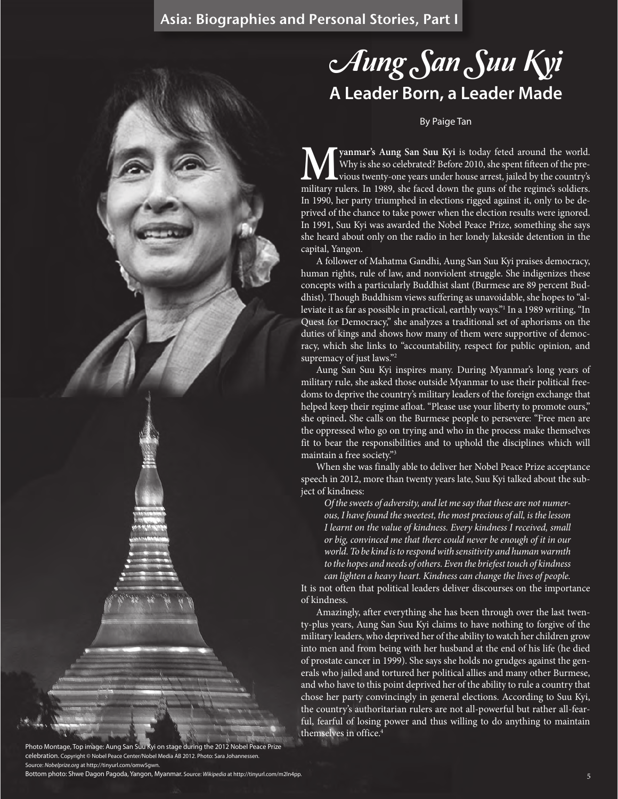# Aung San Suu Kyi **A Leader Born, a Leader Made**

### By Paige Tan

**Myanmar's Aung San Suu Kyi** is today feted around the world.<br>Why is she so celebrated? Before 2010, she spent fifteen of the previous twenty-one years under house arrest, jailed by the country's military rulers. In 1989, Why is she so celebrated? Before 2010, she spent fifteen of the previous twenty-one years under house arrest, jailed by the country's military rulers. In 1989, she faced down the guns of the regime's soldiers. In 1990, her party triumphed in elections rigged against it, only to be deprived of the chance to take power when the election results were ignored. In 1991, Suu Kyi was awarded the Nobel Peace Prize, something she says she heard about only on the radio in her lonely lakeside detention in the capital, Yangon.

A follower of Mahatma Gandhi, Aung San Suu Kyi praises democracy, human rights, rule of law, and nonviolent struggle. She indigenizes these concepts with a particularly Buddhist slant (Burmese are 89 percent Buddhist). Though Buddhism views suffering as unavoidable, she hopes to "alleviate it as far as possible in practical, earthly ways."1 In a 1989 writing, "In Quest for Democracy," she analyzes a traditional set of aphorisms on the duties of kings and shows how many of them were supportive of democracy, which she links to "accountability, respect for public opinion, and supremacy of just laws."<sup>2</sup>

Aung San Suu Kyi inspires many. During Myanmar's long years of military rule, she asked those outside Myanmar to use their political freedoms to deprive the country's military leaders of the foreign exchange that helped keep their regime afloat. "Please use your liberty to promote ours," she opined**.** She calls on the Burmese people to persevere: "Free men are the oppressed who go on trying and who in the process make themselves fit to bear the responsibilities and to uphold the disciplines which will maintain a free society."3

When she was finally able to deliver her Nobel Peace Prize acceptance speech in 2012, more than twenty years late, Suu Kyi talked about the subject of kindness:

*Of the sweets of adversity, and let me say that these are not numerous, I have found the sweetest, the most precious of all, is the lesson I learnt on the value of kindness. Every kindness I received, small or big, convinced me that there could never be enough of it in our world. To be kind is to respond with sensitivity and human warmth to the hopes and needs of others. Even the briefest touch of kindness can lighten a heavy heart. Kindness can change the lives of people.*

It is not often that political leaders deliver discourses on the importance of kindness.

Amazingly, after everything she has been through over the last twenty-plus years, Aung San Suu Kyi claims to have nothing to forgive of the military leaders, who deprived her of the ability to watch her children grow into men and from being with her husband at the end of his life (he died of prostate cancer in 1999). She says she holds no grudges against the generals who jailed and tortured her political allies and many other Burmese, and who have to this point deprived her of the ability to rule a country that chose her party convincingly in general elections. According to Suu Kyi, the country's authoritarian rulers are not all-powerful but rather all-fearful, fearful of losing power and thus willing to do anything to maintain themselves in office.4

Photo Montage, Top image: Aung San Suu Kyi on stage during the 2012 Nobel Peace Prize celebration. Copyright © Nobel Peace Center/Nobel Media AB 2012. Photo: Sara Johannessen. Source: *Nobelprize.org* at http://tinyurl.com/omw5gwn. Bottom photo: Shwe Dagon Pagoda, Yangon, Myanmar. Source: *Wikipedia* at http://tinyurl.com/m2ln4pp.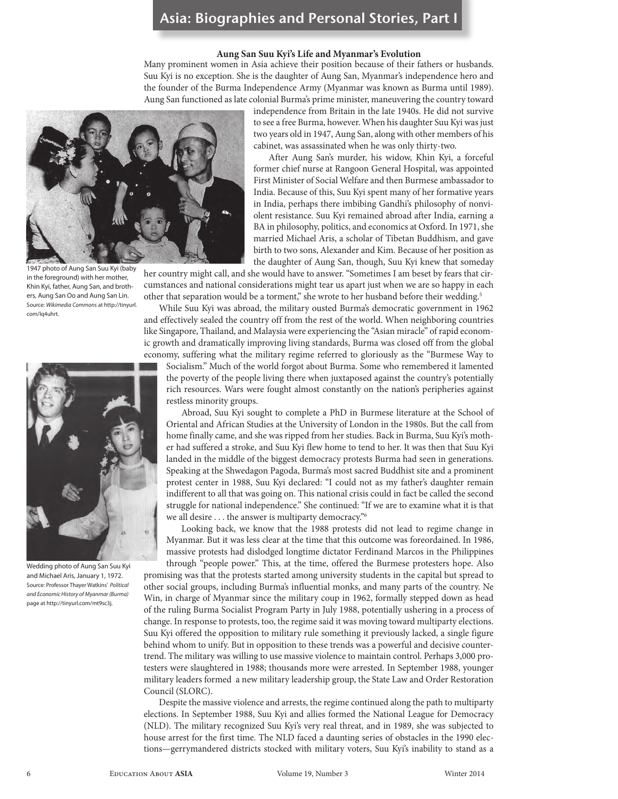#### **Aung San Suu Kyi's Life and Myanmar's Evolution**

Many prominent women in Asia achieve their position because of their fathers or husbands. Suu Kyi is no exception. She is the daughter of Aung San, Myanmar's independence hero and the founder of the Burma Independence Army (Myanmar was known as Burma until 1989). Aung San functioned as late colonial Burma's prime minister, maneuvering the country toward



1947 photo of Aung San Suu Kyi (baby in the foreground) with her mother, Khin Kyi, father, Aung San, and brothers, Aung San Oo and Aung San Lin. Source: *Wikimedia Commons* at http://tinyurl. com/lq4uhrt.



Wedding photo of Aung San Suu Kyi and Michael Aris, January 1, 1972. Source: Professor Thayer Watkins' *Political and Economic History of Myanmar (Burma)* page at http://tinyurl.com/mt9sc3j.

independence from Britain in the late 1940s. He did not survive to see a free Burma, however. When his daughter Suu Kyi was just two years old in 1947, Aung San, along with other members of his cabinet, was assassinated when he was only thirty-two.

After Aung San's murder, his widow, Khin Kyi, a forceful former chief nurse at Rangoon General Hospital, was appointed First Minister of Social Welfare and then Burmese ambassador to India. Because of this, Suu Kyi spent many of her formative years in India, perhaps there imbibing Gandhi's philosophy of nonviolent resistance. Suu Kyi remained abroad after India, earning a BA in philosophy, politics, and economics at Oxford. In 1971, she married Michael Aris, a scholar of Tibetan Buddhism, and gave birth to two sons, Alexander and Kim. Because of her position as the daughter of Aung San, though, Suu Kyi knew that someday

her country might call, and she would have to answer. "Sometimes I am beset by fears that circumstances and national considerations might tear us apart just when we are so happy in each other that separation would be a torment," she wrote to her husband before their wedding.<sup>5</sup>

While Suu Kyi was abroad, the military ousted Burma's democratic government in 1962 and effectively sealed the country off from the rest of the world. When neighboring countries like Singapore, Thailand, and Malaysia were experiencing the "Asian miracle" of rapid economic growth and dramatically improving living standards, Burma was closed off from the global economy, suffering what the military regime referred to gloriously as the "Burmese Way to

Socialism." Much of the world forgot about Burma. Some who remembered it lamented the poverty of the people living there when juxtaposed against the country's potentially rich resources. Wars were fought almost constantly on the nation's peripheries against restless minority groups.

Abroad, Suu Kyi sought to complete a PhD in Burmese literature at the School of Oriental and African Studies at the University of London in the 1980s. But the call from home finally came, and she was ripped from her studies. Back in Burma, Suu Kyi's mother had suffered a stroke, and Suu Kyi flew home to tend to her. It was then that Suu Kyi landed in the middle of the biggest democracy protests Burma had seen in generations. Speaking at the Shwedagon Pagoda, Burma's most sacred Buddhist site and a prominent protest center in 1988, Suu Kyi declared: "I could not as my father's daughter remain indifferent to all that was going on. This national crisis could in fact be called the second struggle for national independence." She continued: "If we are to examine what it is that we all desire . . . the answer is multiparty democracy."6

Looking back, we know that the 1988 protests did not lead to regime change in Myanmar. But it was less clear at the time that this outcome was foreordained. In 1986, massive protests had dislodged longtime dictator Ferdinand Marcos in the Philippines through "people power." This, at the time, offered the Burmese protesters hope. Also promising was that the protests started among university students in the capital but spread to other social groups, including Burma's influential monks, and many parts of the country. Ne Win, in charge of Myanmar since the military coup in 1962, formally stepped down as head of the ruling Burma Socialist Program Party in July 1988, potentially ushering in a process of change. In response to protests, too, the regime said it was moving toward multiparty elections. Suu Kyi offered the opposition to military rule something it previously lacked, a single figure behind whom to unify. But in opposition to these trends was a powerful and decisive countertrend. The military was willing to use massive violence to maintain control. Perhaps 3,000 protesters were slaughtered in 1988; thousands more were arrested. In September 1988, younger military leaders formed a new military leadership group, the State Law and Order Restoration Council (SLORC).

Despite the massive violence and arrests, the regime continued along the path to multiparty elections. In September 1988, Suu Kyi and allies formed the National League for Democracy (NLD). The military recognized Suu Kyi's very real threat, and in 1989, she was subjected to house arrest for the first time. The NLD faced a daunting series of obstacles in the 1990 elections—gerrymandered districts stocked with military voters, Suu Kyi's inability to stand as a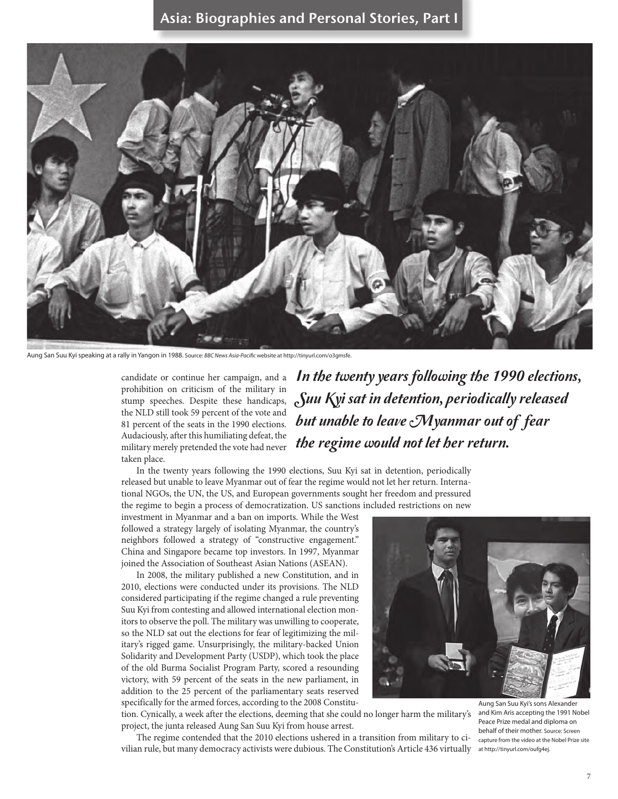

Aung San Suu Kyi speaking at a rally in Yangon in 1988. Source: *BBC News Asia-Pacific* website at http://tinyurl.com/o3gmsfe.

candidate or continue her campaign, and a prohibition on criticism of the military in stump speeches. Despite these handicaps, the NLD still took 59 percent of the vote and 81 percent of the seats in the 1990 elections. Audaciously, after this humiliating defeat, the military merely pretended the vote had never taken place.

In the twenty years following the 1990 elections, Suu Kyi sat in detention, periodically released but unable to leave Myanmar out of fear the regime would not let her return.

In the twenty years following the 1990 elections, Suu Kyi sat in detention, periodically released but unable to leave Myanmar out of fear the regime would not let her return. International NGOs, the UN, the US, and European governments sought her freedom and pressured the regime to begin a process of democratization. US sanctions included restrictions on new

investment in Myanmar and a ban on imports. While the West followed a strategy largely of isolating Myanmar, the country's neighbors followed a strategy of "constructive engagement." China and Singapore became top investors. In 1997, Myanmar joined the Association of Southeast Asian Nations (ASEAN).

In 2008, the military published a new Constitution, and in 2010, elections were conducted under its provisions. The NLD considered participating if the regime changed a rule preventing Suu Kyi from contesting and allowed international election monitors to observe the poll. The military was unwilling to cooperate, so the NLD sat out the elections for fear of legitimizing the military's rigged game. Unsurprisingly, the military-backed Union Solidarity and Development Party (USDP), which took the place of the old Burma Socialist Program Party, scored a resounding victory, with 59 percent of the seats in the new parliament, in addition to the 25 percent of the parliamentary seats reserved specifically for the armed forces, according to the 2008 Constitu-

tion. Cynically, a week after the elections, deeming that she could no longer harm the military's project, the junta released Aung San Suu Kyi from house arrest.

The regime contended that the 2010 elections ushered in a transition from military to civilian rule, but many democracy activists were dubious. The Constitution's Article 436 virtually at http://tinyurl.com/oufg4ej.

Aung San Suu Kyi's sons Alexander and Kim Aris accepting the 1991 Nobel Peace Prize medal and diploma on behalf of their mother. Source: Screen capture from the video at the Nobel Prize site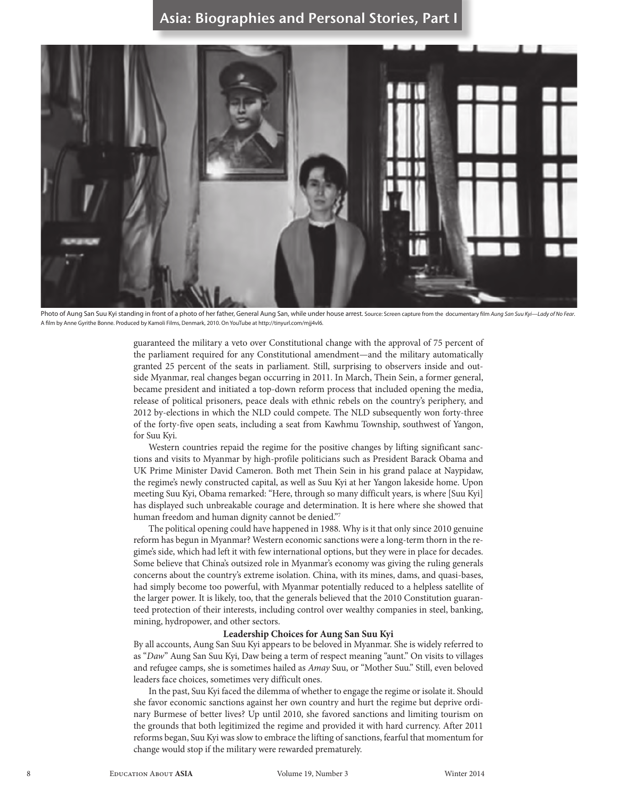

Photo of Aung San Suu Kyi standing in front of a photo of her father, General Aung San, while under house arrest. Source: Screen capture from the documentary film Aung San Suu Kyi-Lady of No Fear. A film by Anne Gyrithe Bonne. Produced by Kamoli Films, Denmark, 2010. On YouTube at http://tinyurl.com/mjj4vl6.

guaranteed the military a veto over Constitutional change with the approval of 75 percent of the parliament required for any Constitutional amendment—and the military automatically granted 25 percent of the seats in parliament. Still, surprising to observers inside and outside Myanmar, real changes began occurring in 2011. In March, Thein Sein, a former general, became president and initiated a top-down reform process that included opening the media, release of political prisoners, peace deals with ethnic rebels on the country's periphery, and 2012 by-elections in which the NLD could compete. The NLD subsequently won forty-three of the forty-five open seats, including a seat from Kawhmu Township, southwest of Yangon, for Suu Kyi.

Western countries repaid the regime for the positive changes by lifting significant sanctions and visits to Myanmar by high-profile politicians such as President Barack Obama and UK Prime Minister David Cameron. Both met Thein Sein in his grand palace at Naypidaw, the regime's newly constructed capital, as well as Suu Kyi at her Yangon lakeside home. Upon meeting Suu Kyi, Obama remarked: "Here, through so many difficult years, is where [Suu Kyi] has displayed such unbreakable courage and determination. It is here where she showed that human freedom and human dignity cannot be denied."7

The political opening could have happened in 1988. Why is it that only since 2010 genuine reform has begun in Myanmar? Western economic sanctions were a long-term thorn in the regime's side, which had left it with few international options, but they were in place for decades. Some believe that China's outsized role in Myanmar's economy was giving the ruling generals concerns about the country's extreme isolation. China, with its mines, dams, and quasi-bases, had simply become too powerful, with Myanmar potentially reduced to a helpless satellite of the larger power. It is likely, too, that the generals believed that the 2010 Constitution guaranteed protection of their interests, including control over wealthy companies in steel, banking, mining, hydropower, and other sectors.

#### **Leadership Choices for Aung San Suu Kyi**

By all accounts, Aung San Suu Kyi appears to be beloved in Myanmar. She is widely referred to as "*Daw*" Aung San Suu Kyi, Daw being a term of respect meaning "aunt." On visits to villages and refugee camps, she is sometimes hailed as *Amay* Suu, or "Mother Suu." Still, even beloved leaders face choices, sometimes very difficult ones.

In the past, Suu Kyi faced the dilemma of whether to engage the regime or isolate it. Should she favor economic sanctions against her own country and hurt the regime but deprive ordinary Burmese of better lives? Up until 2010, she favored sanctions and limiting tourism on the grounds that both legitimized the regime and provided it with hard currency. After 2011 reforms began, Suu Kyi was slow to embrace the lifting of sanctions, fearful that momentum for change would stop if the military were rewarded prematurely.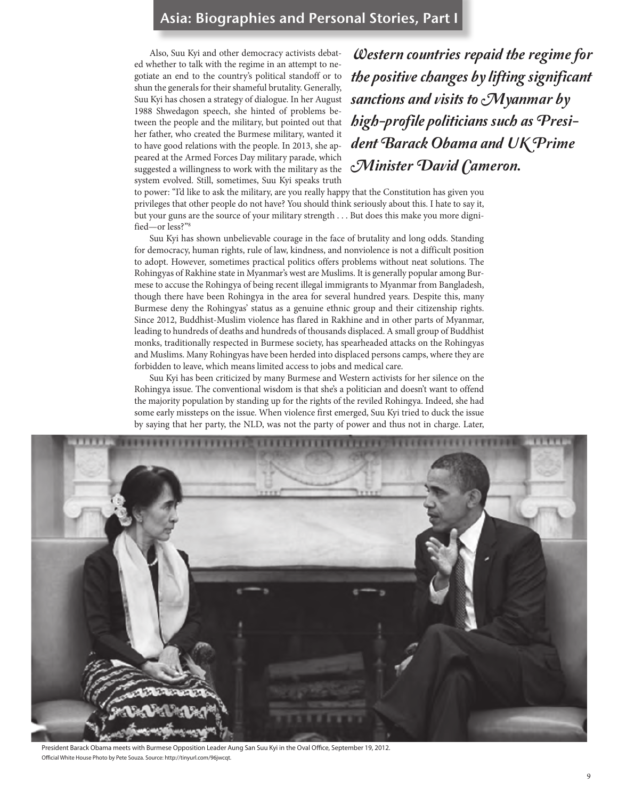Also, Suu Kyi and other democracy activists debated whether to talk with the regime in an attempt to negotiate an end to the country's political standoff or to shun the generals for their shameful brutality. Generally, Suu Kyi has chosen a strategy of dialogue. In her August 1988 Shwedagon speech, she hinted of problems between the people and the military, but pointed out that her father, who created the Burmese military, wanted it to have good relations with the people. In 2013, she appeared at the Armed Forces Day military parade, which suggested a willingness to work with the military as the system evolved. Still, sometimes, Suu Kyi speaks truth

Western countries repaid the regime for the positive changes by lifting significant sanctions and visits to  $\mathcal{M}$  yanmar by high-profile politicians such as President Barack Obama and UK Prime Minister David Cameron.

to power: "I'd like to ask the military, are you really happy that the Constitution has given you privileges that other people do not have? You should think seriously about this. I hate to say it, but your guns are the source of your military strength . . . But does this make you more dignified—or less?"8

Suu Kyi has shown unbelievable courage in the face of brutality and long odds. Standing for democracy, human rights, rule of law, kindness, and nonviolence is not a difficult position to adopt. However, sometimes practical politics offers problems without neat solutions. The Rohingyas of Rakhine state in Myanmar's west are Muslims. It is generally popular among Burmese to accuse the Rohingya of being recent illegal immigrants to Myanmar from Bangladesh, though there have been Rohingya in the area for several hundred years. Despite this, many Burmese deny the Rohingyas' status as a genuine ethnic group and their citizenship rights. Since 2012, Buddhist-Muslim violence has flared in Rakhine and in other parts of Myanmar, leading to hundreds of deaths and hundreds of thousands displaced. A small group of Buddhist monks, traditionally respected in Burmese society, has spearheaded attacks on the Rohingyas and Muslims. Many Rohingyas have been herded into displaced persons camps, where they are forbidden to leave, which means limited access to jobs and medical care.

Suu Kyi has been criticized by many Burmese and Western activists for her silence on the Rohingya issue. The conventional wisdom is that she's a politician and doesn't want to offend the majority population by standing up for the rights of the reviled Rohingya. Indeed, she had some early missteps on the issue. When violence first emerged, Suu Kyi tried to duck the issue by saying that her party, the NLD, was not the party of power and thus not in charge. Later,



President Barack Obama meets with Burmese Opposition Leader Aung San Suu Kyi in the Oval Office, September 19, 2012. Official White House Photo by Pete Souza. Source: http://tinyurl.com/96jwcqt.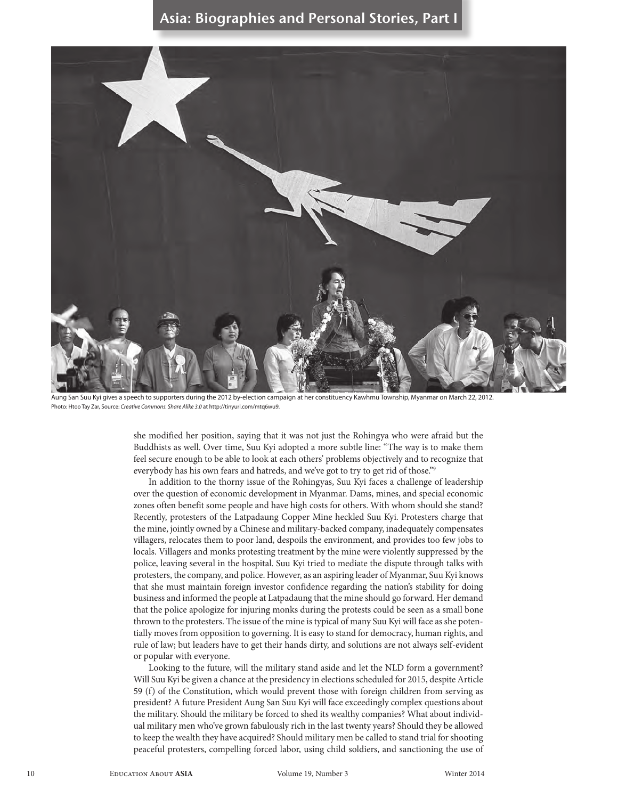

Aung San Suu Kyi gives a speech to supporters during the 2012 by-election campaign at her constituency Kawhmu Township, Myanmar on March 22, 2012. Photo: Htoo Tay Zar, Source: *Creative Commons. Share Alike 3.0* at http://tinyurl.com/mtq6wu9.

she modified her position, saying that it was not just the Rohingya who were afraid but the Buddhists as well. Over time, Suu Kyi adopted a more subtle line: "The way is to make them feel secure enough to be able to look at each others' problems objectively and to recognize that everybody has his own fears and hatreds, and we've got to try to get rid of those."9

In addition to the thorny issue of the Rohingyas, Suu Kyi faces a challenge of leadership over the question of economic development in Myanmar. Dams, mines, and special economic zones often benefit some people and have high costs for others. With whom should she stand? Recently, protesters of the Latpadaung Copper Mine heckled Suu Kyi. Protesters charge that the mine, jointly owned by a Chinese and military-backed company, inadequately compensates villagers, relocates them to poor land, despoils the environment, and provides too few jobs to locals. Villagers and monks protesting treatment by the mine were violently suppressed by the police, leaving several in the hospital. Suu Kyi tried to mediate the dispute through talks with protesters, the company, and police. However, as an aspiring leader of Myanmar, Suu Kyi knows that she must maintain foreign investor confidence regarding the nation's stability for doing business and informed the people at Latpadaung that the mine should go forward. Her demand that the police apologize for injuring monks during the protests could be seen as a small bone thrown to the protesters. The issue of the mine is typical of many Suu Kyi will face as she potentially moves from opposition to governing. It is easy to stand for democracy, human rights, and rule of law; but leaders have to get their hands dirty, and solutions are not always self-evident or popular with everyone.

Looking to the future, will the military stand aside and let the NLD form a government? Will Suu Kyi be given a chance at the presidency in elections scheduled for 2015, despite Article 59 (f) of the Constitution, which would prevent those with foreign children from serving as president? A future President Aung San Suu Kyi will face exceedingly complex questions about the military. Should the military be forced to shed its wealthy companies? What about individual military men who've grown fabulously rich in the last twenty years? Should they be allowed to keep the wealth they have acquired? Should military men be called to stand trial for shooting peaceful protesters, compelling forced labor, using child soldiers, and sanctioning the use of